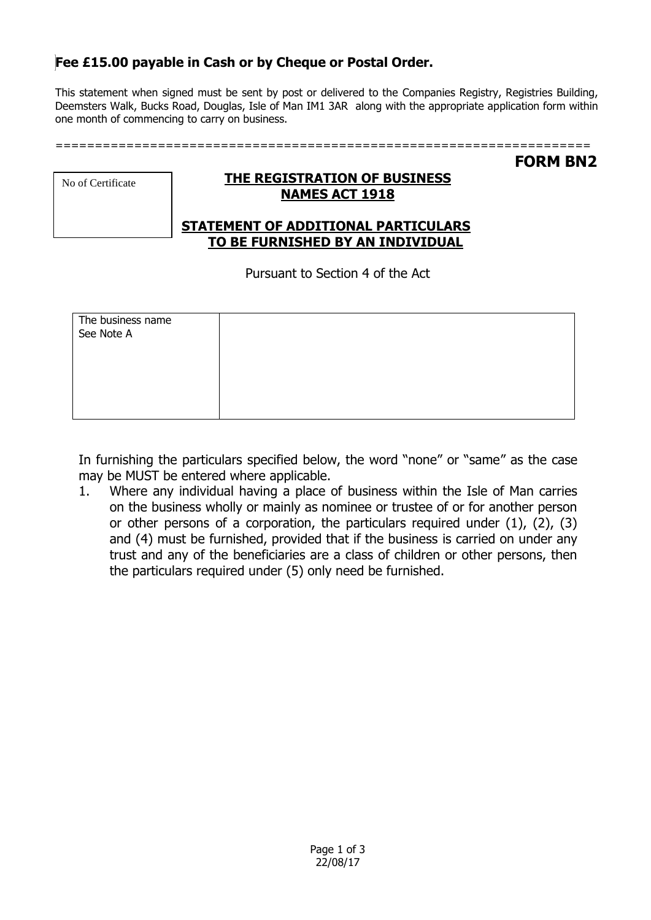# **Fee £15.00 payable in Cash or by Cheque or Postal Order.**

This statement when signed must be sent by post or delivered to the Companies Registry, Registries Building, Deemsters Walk, Bucks Road, Douglas, Isle of Man IM1 3AR along with the appropriate application form within one month of commencing to carry on business.

**FORM BN2**

|  | No of Certificate |  |
|--|-------------------|--|
|  |                   |  |

## **THE REGISTRATION OF BUSINESS NAMES ACT 1918**

## **STATEMENT OF ADDITIONAL PARTICULARS TO BE FURNISHED BY AN INDIVIDUAL**

Pursuant to Section 4 of the Act

| The business name<br>See Note A |  |
|---------------------------------|--|
|                                 |  |
|                                 |  |
|                                 |  |

In furnishing the particulars specified below, the word "none" or "same" as the case may be MUST be entered where applicable.

1. Where any individual having a place of business within the Isle of Man carries on the business wholly or mainly as nominee or trustee of or for another person or other persons of a corporation, the particulars required under (1), (2), (3) and (4) must be furnished, provided that if the business is carried on under any trust and any of the beneficiaries are a class of children or other persons, then the particulars required under (5) only need be furnished.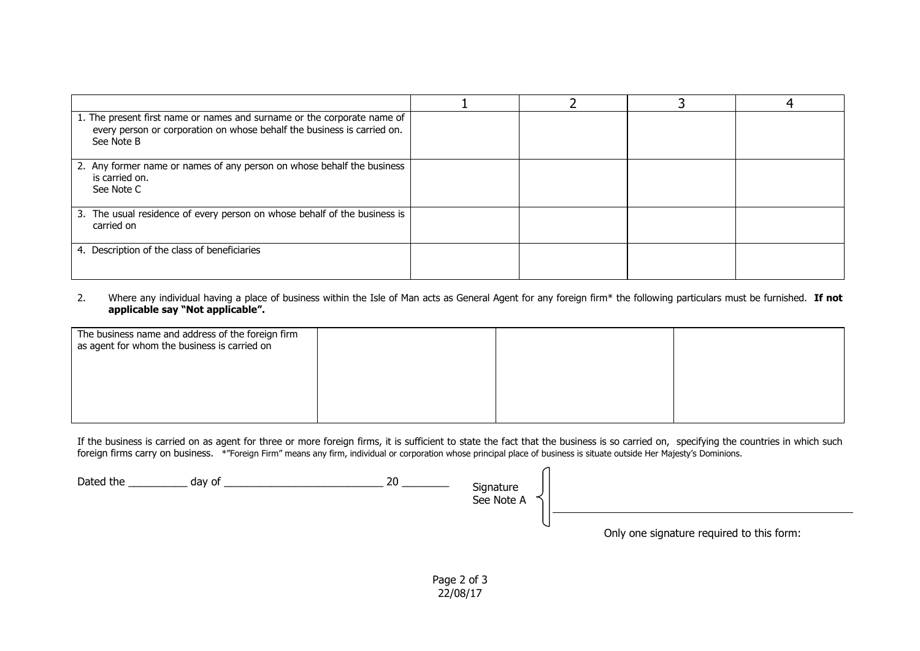| 1. The present first name or names and surname or the corporate name of<br>every person or corporation on whose behalf the business is carried on.<br>See Note B |  |  |
|------------------------------------------------------------------------------------------------------------------------------------------------------------------|--|--|
| 2. Any former name or names of any person on whose behalf the business<br>is carried on.<br>See Note C                                                           |  |  |
| 3. The usual residence of every person on whose behalf of the business is<br>carried on                                                                          |  |  |
| 4. Description of the class of beneficiaries                                                                                                                     |  |  |

2. Where any individual having a place of business within the Isle of Man acts as General Agent for any foreign firm\* the following particulars must be furnished. **If not applicable say "Not applicable".**

| The business name and address of the foreign firm<br>as agent for whom the business is carried on |  |  |
|---------------------------------------------------------------------------------------------------|--|--|
|                                                                                                   |  |  |
|                                                                                                   |  |  |

If the business is carried on as agent for three or more foreign firms, it is sufficient to state the fact that the business is so carried on, specifying the countries in which such foreign firms carry on business. \*"Foreign Firm" means any firm, individual or corporation whose principal place of business is situate outside Her Majesty's Dominions.

Dated the \_\_\_\_\_\_\_\_\_\_ day of \_\_\_\_\_\_\_\_\_\_\_\_\_\_\_\_\_\_\_\_\_\_\_\_\_\_\_ 20 \_\_\_\_\_\_\_\_ Signature See Note A Only one signature required to this form:

> Page 2 of 3 22/08/17